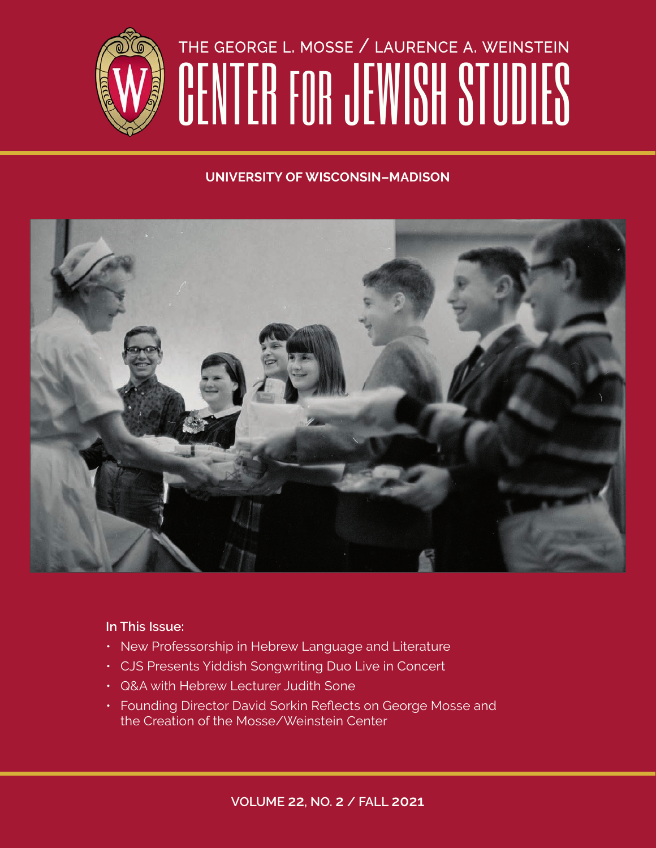

# the george l. mosse / laurence a. weinstein CENTER FOR JEWISH STUDIES

#### **UNIVERSITY OF WISCONSIN–MADISON**



#### **In This Issue:**

- New Professorship in Hebrew Language and Literature
- CJS Presents Yiddish Songwriting Duo Live in Concert
- Q&A with Hebrew Lecturer Judith Sone
- Founding Director David Sorkin Reflects on George Mosse and the Creation of the Mosse/Weinstein Center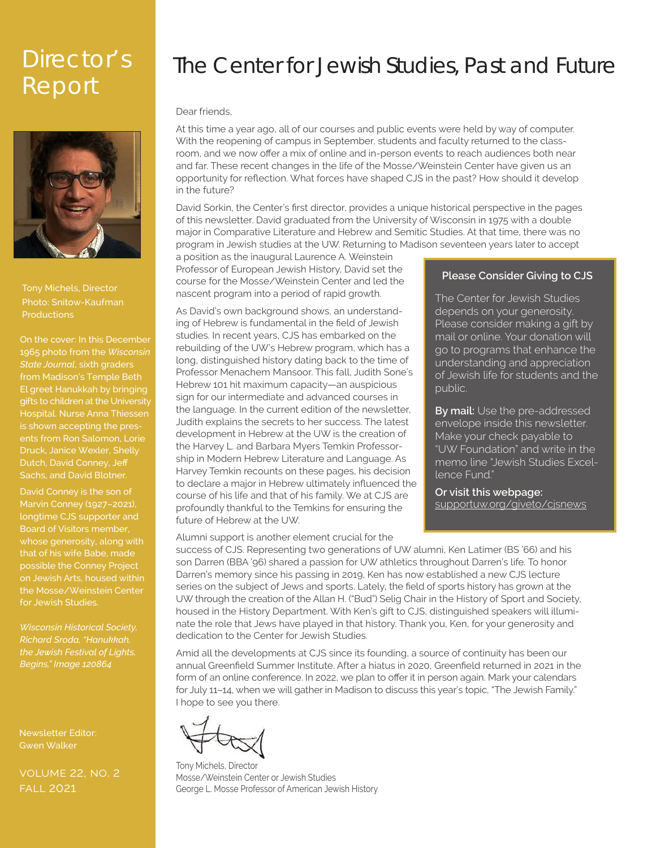# Report



Photo: Snitow-Kaufman **Productions** Tony Michels, Director

On the cover: In this December 1965 photo from the *Wisconsin State Journal*, sixth graders from Madison's Temple Beth El greet Hanukkah by bringing gifts to children at the University Hospital. Nurse Anna Thiessen is shown accepting the presents from Ron Salomon, Lorie Dutch, David Conney, Jeff Sachs, and David Blotner.

David Conney is the son of Marvin Conney (1927–2021), longtime CJS supporter and Board of Visitors member, whose generosity, along with the Mosse/Weinstein Center for Jewish Studies.

*Wisconsin Historical Society, Richard Sroda, "Hanukkah, Begins," Image 120864*

Newsletter Editor: Gwen Walker

volume 22, no. 2 fall 2021

# Director's The Center for Jewish Studies, Past and Future

Dear friends,

At this time a year ago, all of our courses and public events were held by way of computer. With the reopening of campus in September, students and faculty returned to the classroom, and we now offer a mix of online and in-person events to reach audiences both near and far. These recent changes in the life of the Mosse/Weinstein Center have given us an opportunity for reflection. What forces have shaped CJS in the past? How should it develop in the future?

David Sorkin, the Center's first director, provides a unique historical perspective in the pages of this newsletter. David graduated from the University of Wisconsin in 1975 with a double major in Comparative Literature and Hebrew and Semitic Studies. At that time, there was no program in Jewish studies at the UW. Returning to Madison seventeen years later to accept

a position as the inaugural Laurence A. Weinstein Professor of European Jewish History, David set the course for the Mosse/Weinstein Center and led the nascent program into a period of rapid growth.

As David's own background shows, an understanding of Hebrew is fundamental in the field of Jewish studies. In recent years, CJS has embarked on the rebuilding of the UW's Hebrew program, which has a long, distinguished history dating back to the time of Professor Menachem Mansoor. This fall, Judith Sone's Hebrew 101 hit maximum capacity—an auspicious sign for our intermediate and advanced courses in the language. In the current edition of the newsletter, Judith explains the secrets to her success. The latest development in Hebrew at the UW is the creation of the Harvey L. and Barbara Myers Temkin Professorship in Modern Hebrew Literature and Language. As Harvey Temkin recounts on these pages, his decision to declare a major in Hebrew ultimately influenced the course of his life and that of his family. We at CJS are profoundly thankful to the Temkins for ensuring the future of Hebrew at the UW.

Alumni support is another element crucial for the

#### **Please Consider Giving to CJS**

The Center for Jewish Studies depends on your generosity. Please consider making a gift by mail or online. Your donation will go to programs that enhance the understanding and appreciation of Jewish life for students and the public.

**By mail:** Use the pre-addressed envelope inside this newsletter. Make your check payable to "UW Foundation" and write in the memo line "Jewish Studies Excellence Fund."

**Or visit this webpage:** supportuw.org/giveto/cjsnews

success of CJS. Representing two generations of UW alumni, Ken Latimer (BS '66) and his son Darren (BBA '96) shared a passion for UW athletics throughout Darren's life. To honor Darren's memory since his passing in 2019, Ken has now established a new CJS lecture series on the subject of Jews and sports. Lately, the field of sports history has grown at the UW through the creation of the Allan H. ("Bud") Selig Chair in the History of Sport and Society, housed in the History Department. With Ken's gift to CJS, distinguished speakers will illuminate the role that Jews have played in that history. Thank you, Ken, for your generosity and dedication to the Center for Jewish Studies.

Amid all the developments at CJS since its founding, a source of continuity has been our annual Greenfield Summer Institute. After a hiatus in 2020, Greenfield returned in 2021 in the form of an online conference. In 2022, we plan to offer it in person again. Mark your calendars for July 11–14, when we will gather in Madison to discuss this year's topic, "The Jewish Family." I hope to see you there.

Tony Michels, Director Mosse/Weinstein Center or Jewish Studies George L. Mosse Professor of American Jewish History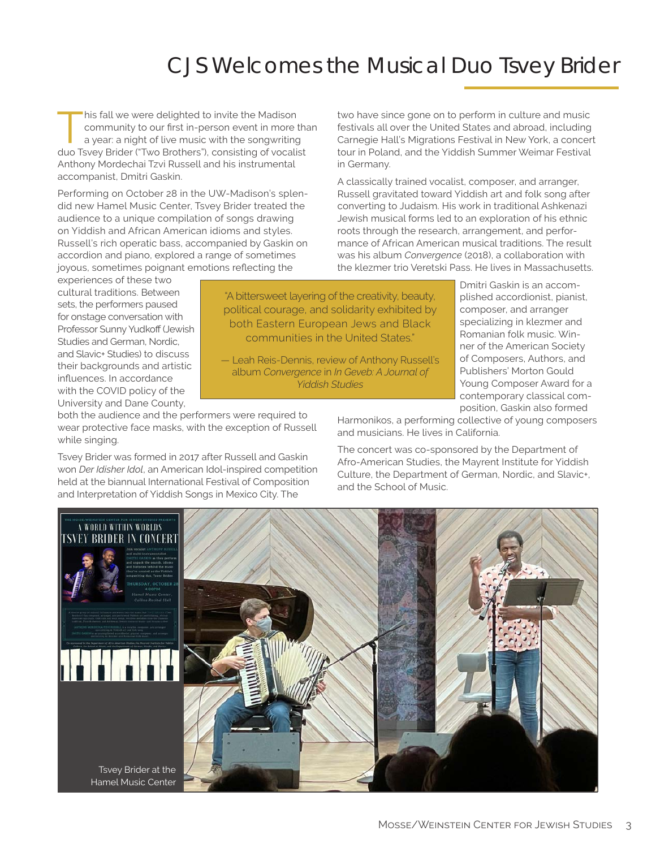# CJS Welcomes the Musical Duo Tsvey Brider

his fall we were delighted to invite the Madison<br>
community to our first in-person event in more the<br>
a year: a night of live music with the songwriting<br>
due Tauxu Prider ("Two Prathers") community to our first in-person event in more than duo Tsvey Brider ("Two Brothers"), consisting of vocalist Anthony Mordechai Tzvi Russell and his instrumental accompanist, Dmitri Gaskin.

Performing on October 28 in the UW-Madison's splendid new Hamel Music Center, Tsvey Brider treated the audience to a unique compilation of songs drawing on Yiddish and African American idioms and styles. Russell's rich operatic bass, accompanied by Gaskin on accordion and piano, explored a range of sometimes joyous, sometimes poignant emotions reflecting the

two have since gone on to perform in culture and music festivals all over the United States and abroad, including Carnegie Hall's Migrations Festival in New York, a concert tour in Poland, and the Yiddish Summer Weimar Festival in Germany.

A classically trained vocalist, composer, and arranger, Russell gravitated toward Yiddish art and folk song after converting to Judaism. His work in traditional Ashkenazi Jewish musical forms led to an exploration of his ethnic roots through the research, arrangement, and performance of African American musical traditions. The result was his album *Convergence* (2018), a collaboration with the klezmer trio Veretski Pass. He lives in Massachusetts.

experiences of these two cultural traditions. Between sets, the performers paused for onstage conversation with Professor Sunny Yudkoff (Jewish Studies and German, Nordic, and Slavic+ Studies) to discuss their backgrounds and artistic influences. In accordance with the COVID policy of the University and Dane County,

"A bittersweet layering of the creativity, beauty, political courage, and solidarity exhibited by both Eastern European Jews and Black communities in the United States."

— Leah Reis-Dennis, review of Anthony Russell's album *Convergence* in *In Geveb: A Journal of Yiddish Studies*

both the audience and the performers were required to wear protective face masks, with the exception of Russell while singing.

Tsvey Brider was formed in 2017 after Russell and Gaskin won *Der Idisher Idol*, an American Idol-inspired competition held at the biannual International Festival of Composition and Interpretation of Yiddish Songs in Mexico City. The

Dmitri Gaskin is an accomplished accordionist, pianist, composer, and arranger specializing in klezmer and Romanian folk music. Winner of the American Society of Composers, Authors, and Publishers' Morton Gould Young Composer Award for a contemporary classical composition, Gaskin also formed

Harmonikos, a performing collective of young composers and musicians. He lives in California.

The concert was co-sponsored by the Department of Afro-American Studies, the Mayrent Institute for Yiddish Culture, the Department of German, Nordic, and Slavic+, and the School of Music.

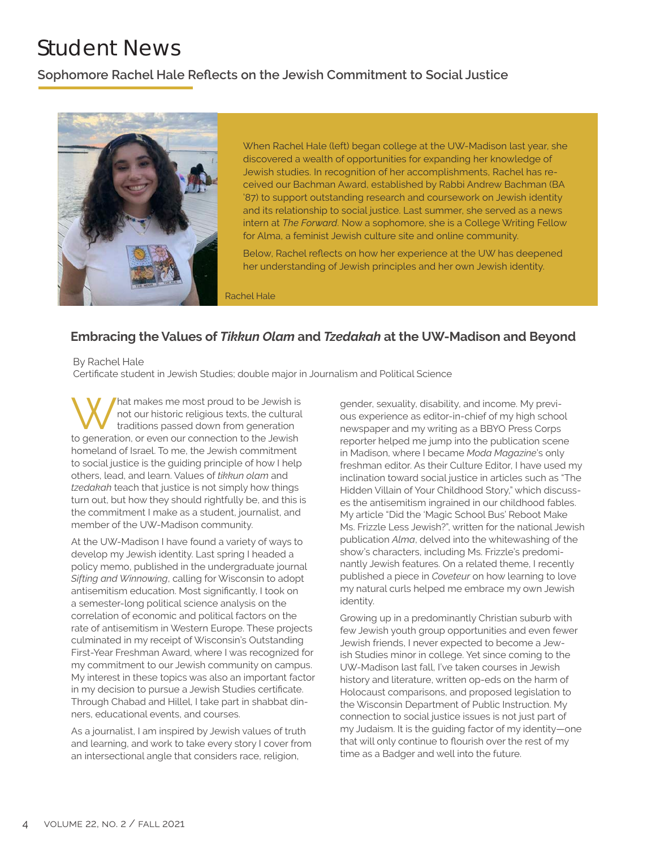# Student News

#### **Sophomore Rachel Hale Reflects on the Jewish Commitment to Social Justice**



When Rachel Hale (left) began college at the UW-Madison last year, she discovered a wealth of opportunities for expanding her knowledge of Jewish studies. In recognition of her accomplishments, Rachel has received our Bachman Award, established by Rabbi Andrew Bachman (BA '87) to support outstanding research and coursework on Jewish identity and its relationship to social justice. Last summer, she served as a news intern at *The Forward*. Now a sophomore, she is a College Writing Fellow for Alma, a feminist Jewish culture site and online community.

Below, Rachel reflects on how her experience at the UW has deepened her understanding of Jewish principles and her own Jewish identity.

Rachel Hale

#### **Embracing the Values of** *Tikkun Olam* **and** *Tzedakah* **at the UW-Madison and Beyond**

By Rachel Hale

Certificate student in Jewish Studies; double major in Journalism and Political Science

What makes me most proud to be Jewish is<br>traditions passed down from generation<br>to generation as a sure approach to the Jewish not our historic religious texts, the cultural traditions passed down from generation to generation, or even our connection to the Jewish homeland of Israel. To me, the Jewish commitment to social justice is the guiding principle of how I help others, lead, and learn. Values of *tikkun olam* and *tzedakah* teach that justice is not simply how things turn out, but how they should rightfully be, and this is the commitment I make as a student, journalist, and member of the UW-Madison community.

At the UW-Madison I have found a variety of ways to develop my Jewish identity. Last spring I headed a policy memo, published in the undergraduate journal *Sifting and Winnowing*, calling for Wisconsin to adopt antisemitism education. Most significantly, I took on a semester-long political science analysis on the correlation of economic and political factors on the rate of antisemitism in Western Europe. These projects culminated in my receipt of Wisconsin's Outstanding First-Year Freshman Award, where I was recognized for my commitment to our Jewish community on campus. My interest in these topics was also an important factor in my decision to pursue a Jewish Studies certificate. Through Chabad and Hillel, I take part in shabbat dinners, educational events, and courses.

As a journalist, I am inspired by Jewish values of truth and learning, and work to take every story I cover from an intersectional angle that considers race, religion,

gender, sexuality, disability, and income. My previous experience as editor-in-chief of my high school newspaper and my writing as a BBYO Press Corps reporter helped me jump into the publication scene in Madison, where I became *Moda Magazine*'s only freshman editor. As their Culture Editor, I have used my inclination toward social justice in articles such as "The Hidden Villain of Your Childhood Story," which discusses the antisemitism ingrained in our childhood fables. My article "Did the 'Magic School Bus' Reboot Make Ms. Frizzle Less Jewish?", written for the national Jewish publication *Alma*, delved into the whitewashing of the show's characters, including Ms. Frizzle's predominantly Jewish features. On a related theme, I recently published a piece in *Coveteur* on how learning to love my natural curls helped me embrace my own Jewish identity.

Growing up in a predominantly Christian suburb with few Jewish youth group opportunities and even fewer Jewish friends, I never expected to become a Jewish Studies minor in college. Yet since coming to the UW-Madison last fall, I've taken courses in Jewish history and literature, written op-eds on the harm of Holocaust comparisons, and proposed legislation to the Wisconsin Department of Public Instruction. My connection to social justice issues is not just part of my Judaism. It is the guiding factor of my identity—one that will only continue to flourish over the rest of my time as a Badger and well into the future.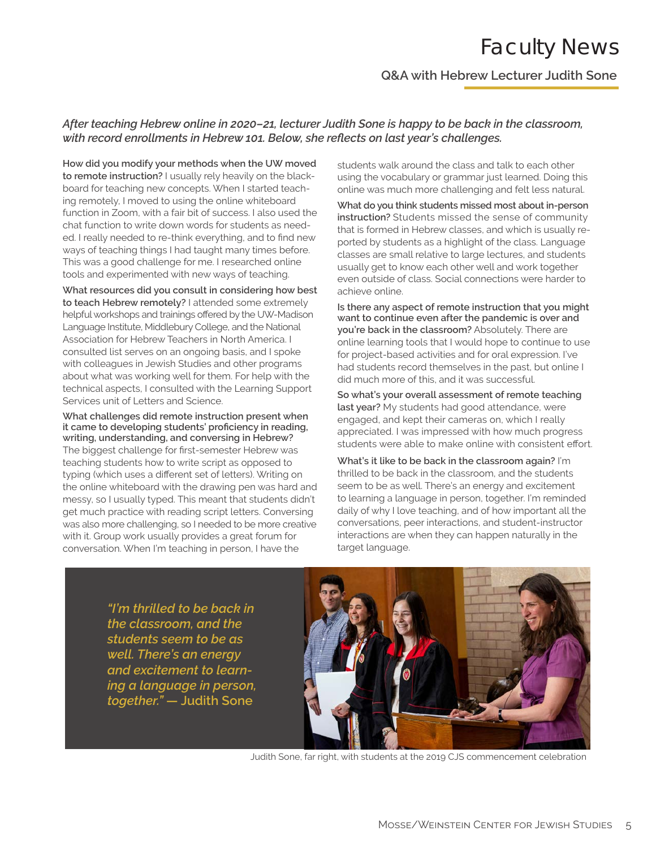### Faculty News

**Q&A with Hebrew Lecturer Judith Sone**

#### *After teaching Hebrew online in 2020–21, lecturer Judith Sone is happy to be back in the classroom, with record enrollments in Hebrew 101. Below, she reflects on last year's challenges.*

**How did you modify your methods when the UW moved to remote instruction?** I usually rely heavily on the blackboard for teaching new concepts. When I started teaching remotely, I moved to using the online whiteboard function in Zoom, with a fair bit of success. I also used the chat function to write down words for students as needed. I really needed to re-think everything, and to find new ways of teaching things I had taught many times before. This was a good challenge for me. I researched online tools and experimented with new ways of teaching.

**What resources did you consult in considering how best to teach Hebrew remotely?** I attended some extremely helpful workshops and trainings offered by the UW-Madison Language Institute, Middlebury College, and the National Association for Hebrew Teachers in North America. I consulted list serves on an ongoing basis, and I spoke with colleagues in Jewish Studies and other programs about what was working well for them. For help with the technical aspects, I consulted with the Learning Support Services unit of Letters and Science.

**What challenges did remote instruction present when it came to developing students' proficiency in reading, writing, understanding, and conversing in Hebrew?**  The biggest challenge for first-semester Hebrew was teaching students how to write script as opposed to typing (which uses a different set of letters). Writing on the online whiteboard with the drawing pen was hard and messy, so I usually typed. This meant that students didn't get much practice with reading script letters. Conversing was also more challenging, so I needed to be more creative with it. Group work usually provides a great forum for conversation. When I'm teaching in person, I have the

students walk around the class and talk to each other using the vocabulary or grammar just learned. Doing this online was much more challenging and felt less natural.

**What do you think students missed most about in-person instruction?** Students missed the sense of community that is formed in Hebrew classes, and which is usually reported by students as a highlight of the class. Language classes are small relative to large lectures, and students usually get to know each other well and work together even outside of class. Social connections were harder to achieve online.

**Is there any aspect of remote instruction that you might want to continue even after the pandemic is over and you're back in the classroom?** Absolutely. There are online learning tools that I would hope to continue to use for project-based activities and for oral expression. I've had students record themselves in the past, but online I did much more of this, and it was successful.

**So what's your overall assessment of remote teaching last year?** My students had good attendance, were engaged, and kept their cameras on, which I really appreciated. I was impressed with how much progress students were able to make online with consistent effort.

**What's it like to be back in the classroom again?** I'm thrilled to be back in the classroom, and the students seem to be as well. There's an energy and excitement to learning a language in person, together. I'm reminded daily of why I love teaching, and of how important all the conversations, peer interactions, and student-instructor interactions are when they can happen naturally in the target language.

*"I'm thrilled to be back in the classroom, and the students seem to be as well. There's an energy and excitement to learning a language in person, together."* **— Judith Sone**



Judith Sone, far right, with students at the 2019 CJS commencement celebration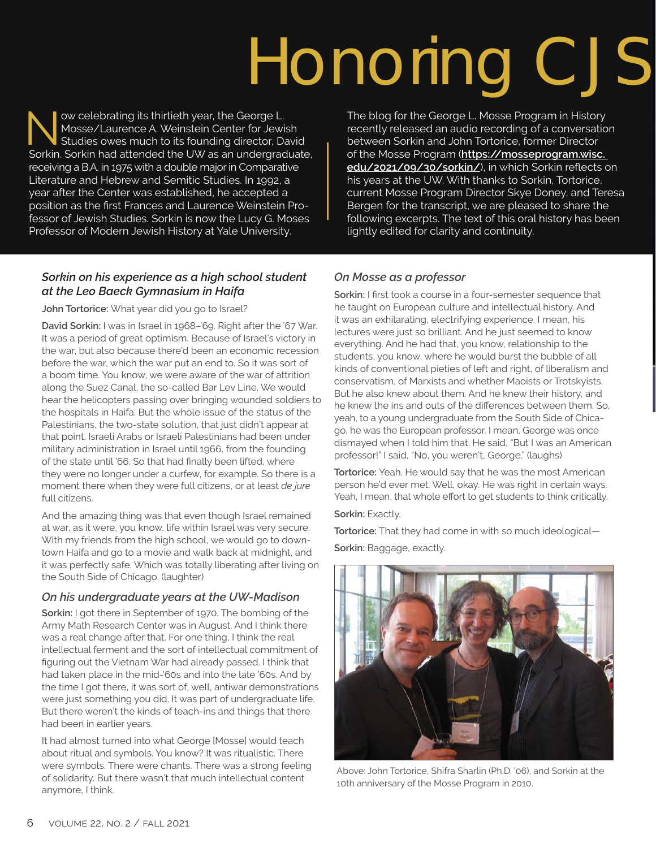# Honoring CJS

lightly edited for clarity and continuity.

The blog for the George L. Mosse Program in History recently released an audio recording of a conversation between Sorkin and John Tortorice, former Director of the Mosse Program (**https://mosseprogram.wisc. edu/2021/09/30/sorkin/**), in which Sorkin reflects on his years at the UW. With thanks to Sorkin, Tortorice, current Mosse Program Director Skye Doney, and Teresa Bergen for the transcript, we are pleased to share the following excerpts. The text of this oral history has been

Now celebrating its thirtieth year, the George L.<br>Mosse/Laurence A. Weinstein Center for Jewis<br>Studies owes much to its founding director, Da Mosse/Laurence A. Weinstein Center for Jewish Studies owes much to its founding director, David Sorkin. Sorkin had attended the UW as an undergraduate, receiving a B.A. in 1975 with a double major in Comparative Literature and Hebrew and Semitic Studies. In 1992, a year after the Center was established, he accepted a position as the first Frances and Laurence Weinstein Professor of Jewish Studies. Sorkin is now the Lucy G. Moses Professor of Modern Jewish History at Yale University.

*Sorkin on his experience as a high school student at the Leo Baeck Gymnasium in Haifa*

**John Tortorice:** What year did you go to Israel?

**David Sorkin:** I was in Israel in 1968–'69. Right after the '67 War. It was a period of great optimism. Because of Israel's victory in the war, but also because there'd been an economic recession before the war, which the war put an end to. So it was sort of a boom time. You know, we were aware of the war of attrition along the Suez Canal, the so-called Bar Lev Line. We would hear the helicopters passing over bringing wounded soldiers to the hospitals in Haifa. But the whole issue of the status of the Palestinians, the two-state solution, that just didn't appear at that point. Israeli Arabs or Israeli Palestinians had been under military administration in Israel until 1966, from the founding of the state until '66. So that had finally been lifted, where they were no longer under a curfew, for example. So there is a moment there when they were full citizens, or at least *de jure* full citizens.

And the amazing thing was that even though Israel remained at war, as it were, you know, life within Israel was very secure. With my friends from the high school, we would go to downtown Haifa and go to a movie and walk back at midnight, and it was perfectly safe. Which was totally liberating after living on the South Side of Chicago. (laughter)

#### *On his undergraduate years at the UW-Madison*

**Sorkin:** I got there in September of 1970. The bombing of the Army Math Research Center was in August. And I think there was a real change after that. For one thing, I think the real intellectual ferment and the sort of intellectual commitment of figuring out the Vietnam War had already passed. I think that had taken place in the mid-'60s and into the late '60s. And by the time I got there, it was sort of, well, antiwar demonstrations were just something you did. It was part of undergraduate life. But there weren't the kinds of teach-ins and things that there had been in earlier years.

It had almost turned into what George [Mosse] would teach about ritual and symbols. You know? It was ritualistic. There were symbols. There were chants. There was a strong feeling of solidarity. But there wasn't that much intellectual content anymore, I think.

#### *On Mosse as a professor*

**Sorkin:** I first took a course in a four-semester sequence that he taught on European culture and intellectual history. And it was an exhilarating, electrifying experience. I mean, his lectures were just so brilliant. And he just seemed to know everything. And he had that, you know, relationship to the students, you know, where he would burst the bubble of all kinds of conventional pieties of left and right, of liberalism and conservatism, of Marxists and whether Maoists or Trotskyists. But he also knew about them. And he knew their history, and he knew the ins and outs of the differences between them. So, yeah, to a young undergraduate from the South Side of Chicago, he was the European professor. I mean, George was once dismayed when I told him that. He said, "But I was an American professor!" I said, "No, you weren't, George." (laughs)

**Tortorice:** Yeah. He would say that he was the most American person he'd ever met. Well, okay. He was right in certain ways. Yeah, I mean, that whole effort to get students to think critically.

**Sorkin: Exactly.** 

**Tortorice:** That they had come in with so much ideological— **Sorkin:** Baggage, exactly.



Above: John Tortorice, Shifra Sharlin (Ph.D. '06), and Sorkin at the 10th anniversary of the Mosse Program in 2010.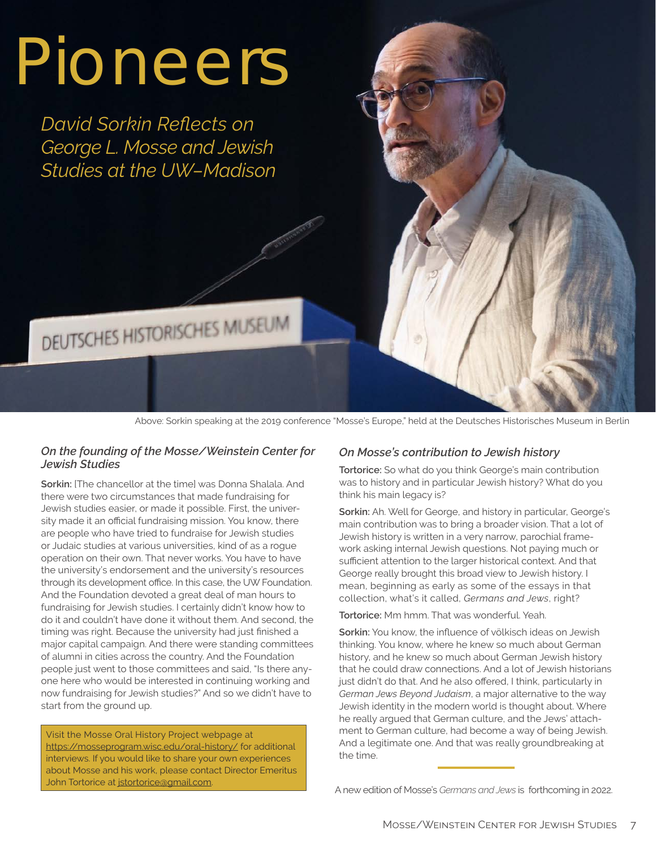# Pioneers

*David Sorkin Reflects on George L. Mosse and Jewish Studies at the UW–Madison*

DEUTSCHES HISTORISCHES MUSEUM

Above: Sorkin speaking at the 2019 conference "Mosse's Europe," held at the Deutsches Historisches Museum in Berlin

#### *On the founding of the Mosse/Weinstein Center for Jewish Studies*

**Sorkin: [The chancellor at the time] was Donna Shalala. And** there were two circumstances that made fundraising for Jewish studies easier, or made it possible. First, the university made it an official fundraising mission. You know, there are people who have tried to fundraise for Jewish studies or Judaic studies at various universities, kind of as a rogue operation on their own. That never works. You have to have the university's endorsement and the university's resources through its development office. In this case, the UW Foundation. And the Foundation devoted a great deal of man hours to fundraising for Jewish studies. I certainly didn't know how to do it and couldn't have done it without them. And second, the timing was right. Because the university had just finished a major capital campaign. And there were standing committees of alumni in cities across the country. And the Foundation people just went to those committees and said, "Is there anyone here who would be interested in continuing working and now fundraising for Jewish studies?" And so we didn't have to start from the ground up.

Visit the Mosse Oral History Project webpage at https://mosseprogram.wisc.edu/oral-history/ for additional interviews. If you would like to share your own experiences about Mosse and his work, please contact Director Emeritus John Tortorice at jstortorice@gmail.com.

#### *On Mosse's contribution to Jewish history*

**Tortorice:** So what do you think George's main contribution was to history and in particular Jewish history? What do you think his main legacy is?

**Sorkin:** Ah. Well for George, and history in particular, George's main contribution was to bring a broader vision. That a lot of Jewish history is written in a very narrow, parochial framework asking internal Jewish questions. Not paying much or sufficient attention to the larger historical context. And that George really brought this broad view to Jewish history. I mean, beginning as early as some of the essays in that collection, what's it called, *Germans and Jews*, right?

**Tortorice:** Mm hmm. That was wonderful. Yeah.

**Sorkin:** You know, the influence of völkisch ideas on Jewish thinking. You know, where he knew so much about German history, and he knew so much about German Jewish history that he could draw connections. And a lot of Jewish historians just didn't do that. And he also offered, I think, particularly in *German Jews Beyond Judaism*, a major alternative to the way Jewish identity in the modern world is thought about. Where he really argued that German culture, and the Jews' attachment to German culture, had become a way of being Jewish. And a legitimate one. And that was really groundbreaking at the time.

A new edition of Mosse's *Germans and Jews* is forthcoming in 2022.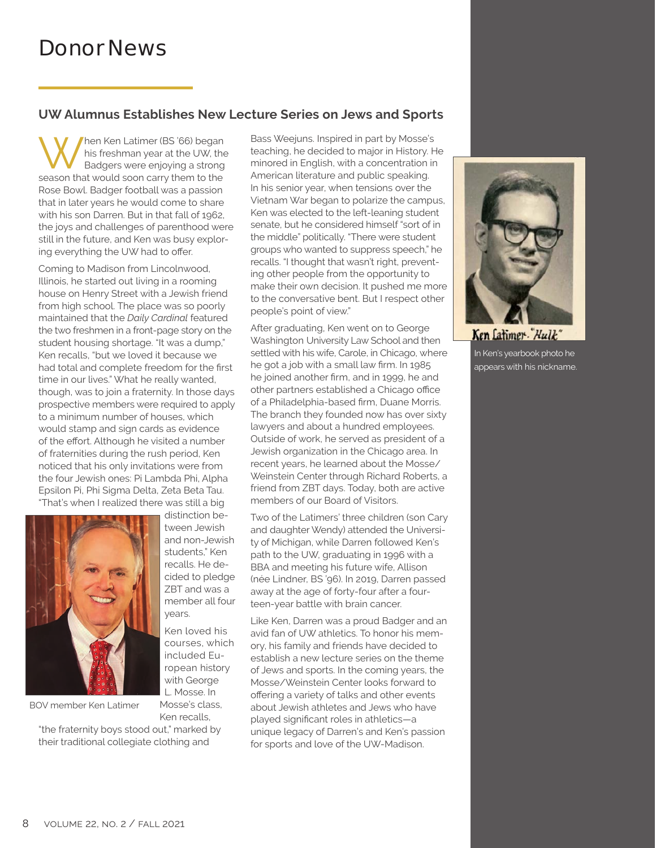#### **UW Alumnus Establishes New Lecture Series on Jews and Sports**

When Ken Latimer (BS '66) began<br>
Badgers were enjoying a strong<br>
second that would go a strong his freshman year at the UW, the season that would soon carry them to the Rose Bowl. Badger football was a passion that in later years he would come to share with his son Darren. But in that fall of 1962, the joys and challenges of parenthood were still in the future, and Ken was busy exploring everything the UW had to offer.

Coming to Madison from Lincolnwood, Illinois, he started out living in a rooming house on Henry Street with a Jewish friend from high school. The place was so poorly maintained that the *Daily Cardinal* featured the two freshmen in a front-page story on the student housing shortage. "It was a dump," Ken recalls, "but we loved it because we had total and complete freedom for the first time in our lives." What he really wanted, though, was to join a fraternity. In those days prospective members were required to apply to a minimum number of houses, which would stamp and sign cards as evidence of the effort. Although he visited a number of fraternities during the rush period, Ken noticed that his only invitations were from the four Jewish ones: Pi Lambda Phi, Alpha Epsilon Pi, Phi Sigma Delta, Zeta Beta Tau. "That's when I realized there was still a big



BOV member Ken Latimer

Mosse's class, Ken recalls,

years.

Ken loved his courses, which included European history with George L. Mosse. In

distinction between Jewish and non-Jewish students," Ken recalls. He decided to pledge ZBT and was a member all four

"the fraternity boys stood out," marked by their traditional collegiate clothing and

Bass Weejuns. Inspired in part by Mosse's teaching, he decided to major in History. He minored in English, with a concentration in American literature and public speaking. In his senior year, when tensions over the Vietnam War began to polarize the campus, Ken was elected to the left-leaning student senate, but he considered himself "sort of in the middle" politically. "There were student groups who wanted to suppress speech," he recalls. "I thought that wasn't right, preventing other people from the opportunity to make their own decision. It pushed me more to the conversative bent. But I respect other people's point of view."

After graduating, Ken went on to George Washington University Law School and then settled with his wife, Carole, in Chicago, where he got a job with a small law firm. In 1985 he joined another firm, and in 1999, he and other partners established a Chicago office of a Philadelphia-based firm, Duane Morris. The branch they founded now has over sixty lawyers and about a hundred employees. Outside of work, he served as president of a Jewish organization in the Chicago area. In recent years, he learned about the Mosse/ Weinstein Center through Richard Roberts, a friend from ZBT days. Today, both are active members of our Board of Visitors.

Two of the Latimers' three children (son Cary and daughter Wendy) attended the University of Michigan, while Darren followed Ken's path to the UW, graduating in 1996 with a BBA and meeting his future wife, Allison (née Lindner, BS '96). In 2019, Darren passed away at the age of forty-four after a fourteen-year battle with brain cancer.

Like Ken, Darren was a proud Badger and an avid fan of UW athletics. To honor his memory, his family and friends have decided to establish a new lecture series on the theme of Jews and sports. In the coming years, the Mosse/Weinstein Center looks forward to offering a variety of talks and other events about Jewish athletes and Jews who have played significant roles in athletics—a unique legacy of Darren's and Ken's passion for sports and love of the UW-Madison.



Ken Latimer-"Hulk" In Ken's yearbook photo he

appears with his nickname.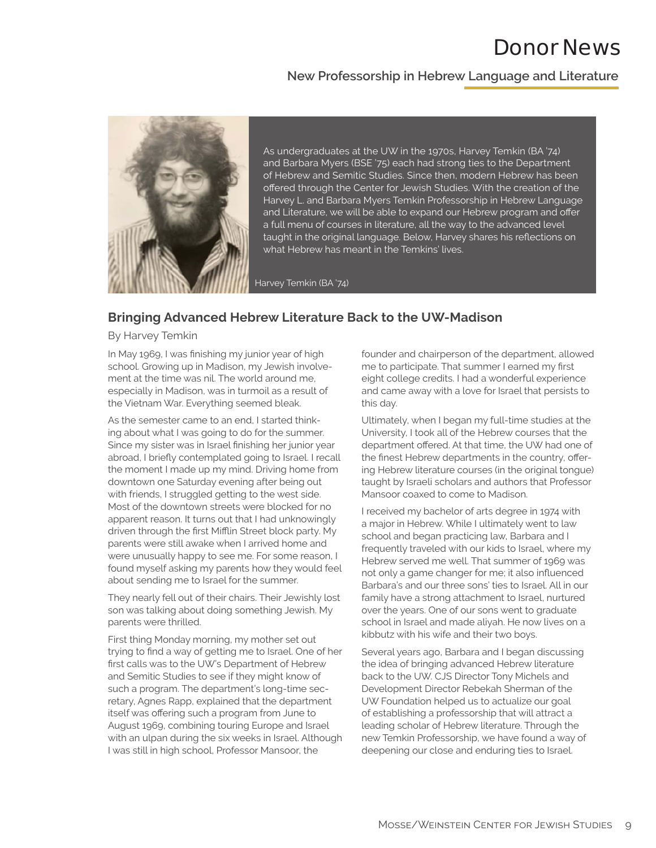## Donor News

#### **New Professorship in Hebrew Language and Literature**



As undergraduates at the UW in the 1970s, Harvey Temkin (BA '74) and Barbara Myers (BSE '75) each had strong ties to the Department of Hebrew and Semitic Studies. Since then, modern Hebrew has been offered through the Center for Jewish Studies. With the creation of the Harvey L. and Barbara Myers Temkin Professorship in Hebrew Language and Literature, we will be able to expand our Hebrew program and offer a full menu of courses in literature, all the way to the advanced level taught in the original language. Below, Harvey shares his reflections on what Hebrew has meant in the Temkins' lives.

Harvey Temkin (BA '74)

#### **Bringing Advanced Hebrew Literature Back to the UW-Madison**

By Harvey Temkin

In May 1969, I was finishing my junior year of high school. Growing up in Madison, my Jewish involvement at the time was nil. The world around me, especially in Madison, was in turmoil as a result of the Vietnam War. Everything seemed bleak.

As the semester came to an end, I started thinking about what I was going to do for the summer. Since my sister was in Israel finishing her junior year abroad, I briefly contemplated going to Israel. I recall the moment I made up my mind. Driving home from downtown one Saturday evening after being out with friends, I struggled getting to the west side. Most of the downtown streets were blocked for no apparent reason. It turns out that I had unknowingly driven through the first Mifflin Street block party. My parents were still awake when I arrived home and were unusually happy to see me. For some reason, I found myself asking my parents how they would feel about sending me to Israel for the summer.

They nearly fell out of their chairs. Their Jewishly lost son was talking about doing something Jewish. My parents were thrilled.

First thing Monday morning, my mother set out trying to find a way of getting me to Israel. One of her first calls was to the UW's Department of Hebrew and Semitic Studies to see if they might know of such a program. The department's long-time secretary, Agnes Rapp, explained that the department itself was offering such a program from June to August 1969, combining touring Europe and Israel with an ulpan during the six weeks in Israel. Although I was still in high school, Professor Mansoor, the

founder and chairperson of the department, allowed me to participate. That summer I earned my first eight college credits. I had a wonderful experience and came away with a love for Israel that persists to this day.

Ultimately, when I began my full-time studies at the University, I took all of the Hebrew courses that the department offered. At that time, the UW had one of the finest Hebrew departments in the country, offering Hebrew literature courses (in the original tongue) taught by Israeli scholars and authors that Professor Mansoor coaxed to come to Madison.

I received my bachelor of arts degree in 1974 with a major in Hebrew. While I ultimately went to law school and began practicing law, Barbara and I frequently traveled with our kids to Israel, where my Hebrew served me well. That summer of 1969 was not only a game changer for me; it also influenced Barbara's and our three sons' ties to Israel. All in our family have a strong attachment to Israel, nurtured over the years. One of our sons went to graduate school in Israel and made aliyah. He now lives on a kibbutz with his wife and their two boys.

Several years ago, Barbara and I began discussing the idea of bringing advanced Hebrew literature back to the UW. CJS Director Tony Michels and Development Director Rebekah Sherman of the UW Foundation helped us to actualize our goal of establishing a professorship that will attract a leading scholar of Hebrew literature. Through the new Temkin Professorship, we have found a way of deepening our close and enduring ties to Israel.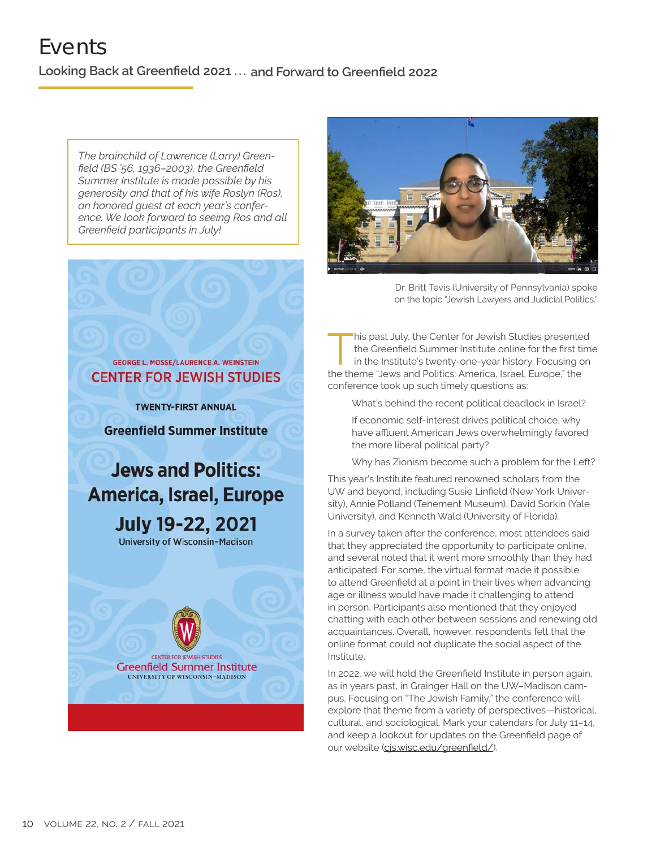*The brainchild of Lawrence (Larry) Greenfield (BS '56, 1936–2003), the Greenfield Summer Institute is made possible by his generosity and that of his wife Roslyn (Ros), an honored guest at each year's conference. We look forward to seeing Ros and all Greenfield participants in July!*



**TWENTY-FIRST ANNUAL** 

**Greenfield Summer Institute** 

## **Jews and Politics: America, Israel, Europe July 19-22, 2021**

**University of Wisconsin-Madison** 





Dr. Britt Tevis (University of Pennsylvania) spoke on the topic "Jewish Lawyers and Judicial Politics."

his past July, the Center for Jewish Studies presented<br>the Greenfield Summer Institute online for the first tim<br>in the Institute's twenty-one-year history. Focusing on<br>the theme "laws and Delities America Israel Europe" th the Greenfield Summer Institute online for the first time in the Institute's twenty-one-year history. Focusing on the theme "Jews and Politics: America, Israel, Europe," the conference took up such timely questions as:

What's behind the recent political deadlock in Israel?

If economic self-interest drives political choice, why have affluent American Jews overwhelmingly favored the more liberal political party?

Why has Zionism become such a problem for the Left?

This year's Institute featured renowned scholars from the UW and beyond, including Susie Linfield (New York University), Annie Polland (Tenement Museum), David Sorkin (Yale University), and Kenneth Wald (University of Florida).

In a survey taken after the conference, most attendees said that they appreciated the opportunity to participate online, and several noted that it went more smoothly than they had anticipated. For some, the virtual format made it possible to attend Greenfield at a point in their lives when advancing age or illness would have made it challenging to attend in person. Participants also mentioned that they enjoyed chatting with each other between sessions and renewing old acquaintances. Overall, however, respondents felt that the online format could not duplicate the social aspect of the Institute.

In 2022, we will hold the Greenfield Institute in person again, as in years past, in Grainger Hall on the UW–Madison campus. Focusing on "The Jewish Family," the conference will explore that theme from a variety of perspectives—historical, cultural, and sociological. Mark your calendars for July 11–14, and keep a lookout for updates on the Greenfield page of our website (cjs.wisc.edu/greenfield/).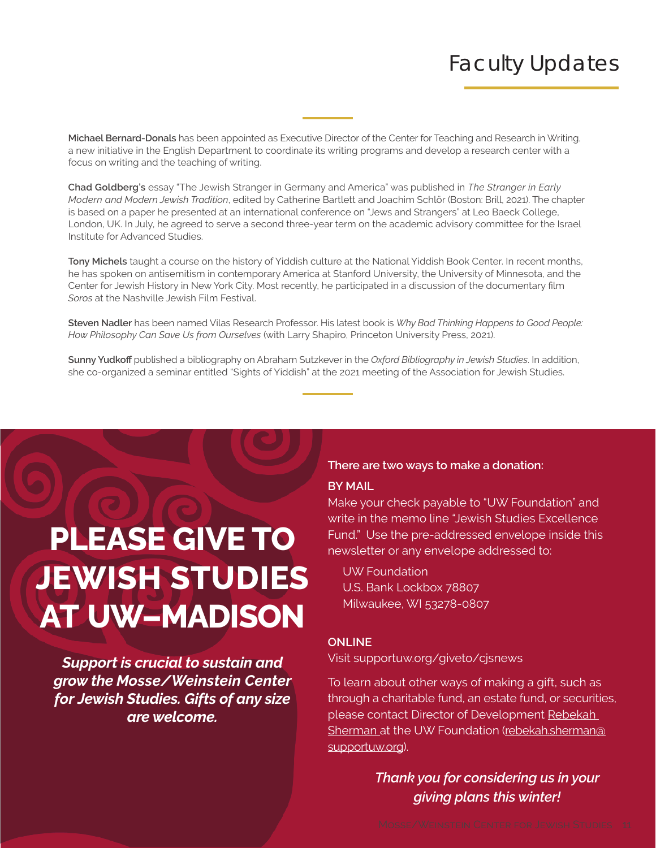# Faculty Updates

**Michael Bernard-Donals** has been appointed as Executive Director of the Center for Teaching and Research in Writing, a new initiative in the English Department to coordinate its writing programs and develop a research center with a focus on writing and the teaching of writing.

**Chad Goldberg's** essay "The Jewish Stranger in Germany and America" was published in *The Stranger in Early Modern and Modern Jewish Tradition*, edited by Catherine Bartlett and Joachim Schlör (Boston: Brill, 2021). The chapter is based on a paper he presented at an international conference on "Jews and Strangers" at Leo Baeck College, London, UK. In July, he agreed to serve a second three-year term on the academic advisory committee for the Israel Institute for Advanced Studies.

**Tony Michels** taught a course on the history of Yiddish culture at the National Yiddish Book Center. In recent months, he has spoken on antisemitism in contemporary America at Stanford University, the University of Minnesota, and the Center for Jewish History in New York City. Most recently, he participated in a discussion of the documentary film *Soros* at the Nashville Jewish Film Festival.

**Steven Nadler** has been named Vilas Research Professor. His latest book is *Why Bad Thinking Happens to Good People: How Philosophy Can Save Us from Ourselves* (with Larry Shapiro, Princeton University Press, 2021).

**Sunny Yudkoff** published a bibliography on Abraham Sutzkever in the *Oxford Bibliography in Jewish Studies*. In addition, she co-organized a seminar entitled "Sights of Yiddish" at the 2021 meeting of the Association for Jewish Studies.

# **PLEASE GIVE TO JEWISH STUDIES AT UW–MADISON**

*Support is crucial to sustain and grow the Mosse/Weinstein Center for Jewish Studies. Gifts of any size are welcome.*

### **There are two ways to make a donation:**

#### **BY MAIL**

Make your check payable to "UW Foundation" and write in the memo line "Jewish Studies Excellence Fund." Use the pre-addressed envelope inside this newsletter or any envelope addressed to:

 UW Foundation U.S. Bank Lockbox 78807 Milwaukee, WI 53278-0807

#### **ONLINE**

Visit supportuw.org/giveto/cjsnews

To learn about other ways of making a gift, such as through a charitable fund, an estate fund, or securities, please contact Director of Development Rebekah Sherman at the UW Foundation (rebekah.sherman@ supportuw.org).

#### *Thank you for considering us in your giving plans this winter!*